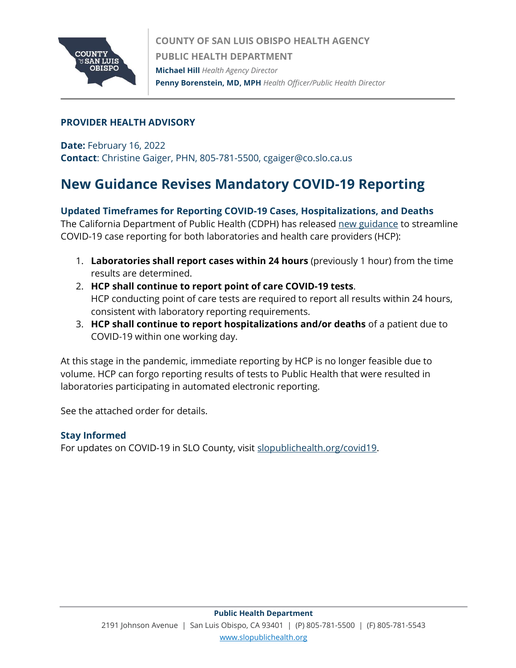

### **PROVIDER HEALTH ADVISORY**

**Date:** February 16, 2022 **Contact**: Christine Gaiger, PHN, 805-781-5500, cgaiger@co.slo.ca.us

# **New Guidance Revises Mandatory COVID-19 Reporting**

#### **Updated Timeframes for Reporting COVID-19 Cases, Hospitalizations, and Deaths**

The California Department of Public Health (CDPH) has released [new guidance](https://www.cdph.ca.gov/Programs/CID/DCDC/Pages/COVID-19/Order-of-the-State-Public-Health-Officer-Revision-of-Mandatory-Reporting-of-Covid-19-Results-by-Health-Care-Providers.aspx) to streamline COVID-19 case reporting for both laboratories and health care providers (HCP):

- 1. **Laboratories shall report cases within 24 hours** (previously 1 hour) from the time results are determined.
- 2. **HCP shall continue to report point of care COVID-19 tests**. HCP conducting point of care tests are required to report all results within 24 hours, consistent with laboratory reporting requirements.
- 3. **HCP shall continue to report hospitalizations and/or deaths** of a patient due to COVID-19 within one working day.

At this stage in the pandemic, immediate reporting by HCP is no longer feasible due to volume. HCP can forgo reporting results of tests to Public Health that were resulted in laboratories participating in automated electronic reporting.

See the attached order for details.

#### **Stay Informed**

For updates on COVID-19 in SLO County, visit [slopublichealth.org/covid19.](slopublichealth.org/covid19)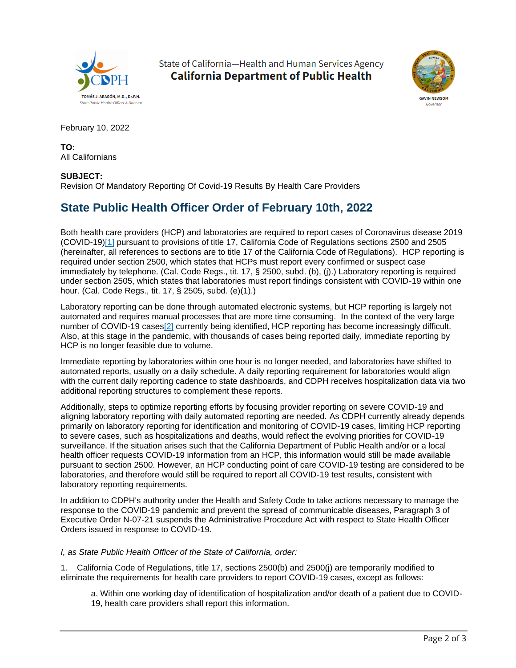

State of California-Health and Human Services Agency **California Department of Public Health** 



February 10, 2022

**TO:** All Californians

#### **SUBJECT:**

Revision Of Mandatory Reporting Of Covid-19 Results By Health Care Providers

## **State Public Health Officer Order of February 10th, 2022**

Both health care providers (HCP) and laboratories are required to report cases of Coronavirus disease 2019 (COVID-19[\)\[1\]](https://www.cdph.ca.gov/Programs/CID/DCDC/Pages/COVID-19/Order-of-the-State-Public-Health-Officer-Revision-of-Mandatory-Reporting-of-Covid-19-Results-by-Health-Care-Providers.aspx#1) pursuant to provisions of title 17, California Code of Regulations sections 2500 and 2505 (hereinafter, all references to sections are to title 17 of the California Code of Regulations). HCP reporting is required under section 2500, which states that HCPs must report every confirmed or suspect case immediately by telephone. (Cal. Code Regs., tit. 17, § 2500, subd. (b), (j).) Laboratory reporting is required under section 2505, which states that laboratories must report findings consistent with COVID-19 within one hour. (Cal. Code Regs., tit. 17, § 2505, subd. (e)(1).)

Laboratory reporting can be done through automated electronic systems, but HCP reporting is largely not automated and requires manual processes that are more time consuming. In the context of the very large number of COVID-19 case[s\[2\]](https://www.cdph.ca.gov/Programs/CID/DCDC/Pages/COVID-19/Order-of-the-State-Public-Health-Officer-Revision-of-Mandatory-Reporting-of-Covid-19-Results-by-Health-Care-Providers.aspx#2) currently being identified, HCP reporting has become increasingly difficult. Also, at this stage in the pandemic, with thousands of cases being reported daily, immediate reporting by HCP is no longer feasible due to volume.

Immediate reporting by laboratories within one hour is no longer needed, and laboratories have shifted to automated reports, usually on a daily schedule. A daily reporting requirement for laboratories would align with the current daily reporting cadence to state dashboards, and CDPH receives hospitalization data via two additional reporting structures to complement these reports.

Additionally, steps to optimize reporting efforts by focusing provider reporting on severe COVID-19 and aligning laboratory reporting with daily automated reporting are needed. As CDPH currently already depends primarily on laboratory reporting for identification and monitoring of COVID-19 cases, limiting HCP reporting to severe cases, such as hospitalizations and deaths, would reflect the evolving priorities for COVID-19 surveillance. If the situation arises such that the California Department of Public Health and/or or a local health officer requests COVID-19 information from an HCP, this information would still be made available pursuant to section 2500. However, an HCP conducting point of care COVID-19 testing are considered to be laboratories, and therefore would still be required to report all COVID-19 test results, consistent with laboratory reporting requirements.

In addition to CDPH's authority under the Health and Safety Code to take actions necessary to manage the response to the COVID-19 pandemic and prevent the spread of communicable diseases, Paragraph 3 of Executive Order N-07-21 suspends the Administrative Procedure Act with respect to State Health Officer Orders issued in response to COVID-19.

*I, as State Public Health Officer of the State of California, order:*

1. California Code of Regulations, title 17, sections 2500(b) and 2500(j) are temporarily modified to eliminate the requirements for health care providers to report COVID-19 cases, except as follows:

a. Within one working day of identification of hospitalization and/or death of a patient due to COVID-19, health care providers shall report this information.